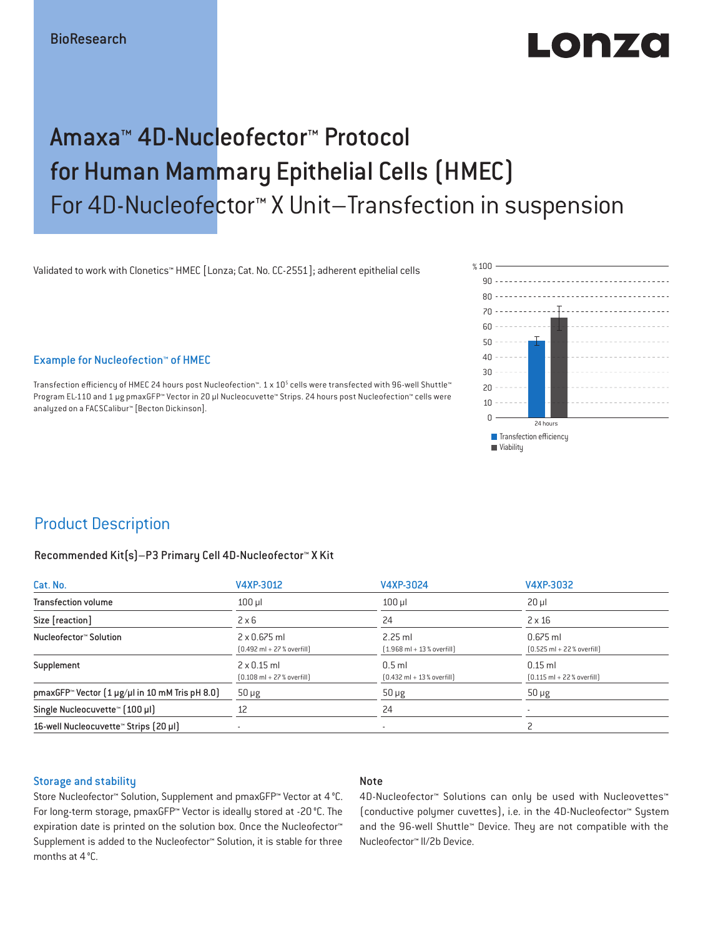# Lonzo

## Amaxa™ 4D-Nucleofector™ Protocol for Human Mammary Epithelial Cells (HMEC) For 4D-Nucleofector™ X Unit–Transfection in suspension

Validated to work with Clonetics™ HMEC [Lonza; Cat. No. CC-2551]; adherent epithelial cells

Example for Nucleofection™ of HMEC

Transfection efficiency of HMEC 24 hours post Nucleofection™. 1 x 10<sup>5</sup> cells were transfected with 96-well Shuttle™ Program EL-110 and 1 μg pmaxGFP™ Vector in 20 µl Nucleocuvette™ Strips. 24 hours post Nucleofection™ cells were analyzed on a FACSCalibur™ [Becton Dickinson].



### Product Description

#### Recommended Kit(s)–P3 Primary Cell 4D-Nucleofector™ X Kit

| Cat. No.                                                           | V4XP-3012                                                           | V4XP-3024                                                | V4XP-3032                                                  |  |
|--------------------------------------------------------------------|---------------------------------------------------------------------|----------------------------------------------------------|------------------------------------------------------------|--|
| <b>Transfection volume</b>                                         | $100$ $\mu$                                                         | $100$ $\mu$                                              | $20 \mu$                                                   |  |
| Size [reaction]                                                    | $2 \times 6$                                                        | 24                                                       | $2 \times 16$                                              |  |
| Nucleofector™ Solution                                             | $2 \times 0.675$ ml<br>$[0.492 \text{ ml} + 27 \text{ %} overfill]$ | $2.25$ ml<br>$[1.968 \text{ ml} + 13 % \text{overfill}]$ | $0.675$ ml<br>$[0.525 \text{ ml} + 22 \text{ % overfill}]$ |  |
| Supplement                                                         | $2 \times 0.15$ ml<br>$[0.108 \text{ ml} + 27 \text{ %} overfill]$  | $0.5$ ml<br>$[0.432 \text{ ml} + 13 \text{ %} overfill]$ | $0.15$ ml<br>$[0.115 \text{ ml} + 22 \text{ % overfill}]$  |  |
| pmaxGFP <sup>*</sup> Vector $(1 \mu g/\mu l$ in 10 mM Tris pH 8.0) | $50 \mu g$                                                          | $50 \mu g$                                               | $50 \mu g$                                                 |  |
| Single Nucleocuvette™ [100 µl]                                     | 12                                                                  | 24                                                       |                                                            |  |
| 16-well Nucleocuvette <sup>™</sup> Strips [20 µl]                  | $\overline{\phantom{a}}$                                            | $\sim$                                                   |                                                            |  |

#### Storage and stability

### Note

Store Nucleofector™ Solution, Supplement and pmaxGFP™ Vector at 4 °C. For long-term storage, pmaxGFP™ Vector is ideally stored at -20 °C. The expiration date is printed on the solution box. Once the Nucleofector™ Supplement is added to the Nucleofector™ Solution, it is stable for three months at 4 °C.

4D-Nucleofector™ Solutions can only be used with Nucleovettes™ (conductive polymer cuvettes), i.e. in the 4D-Nucleofector™ System and the 96-well Shuttle™ Device. They are not compatible with the Nucleofector™ II/2b Device.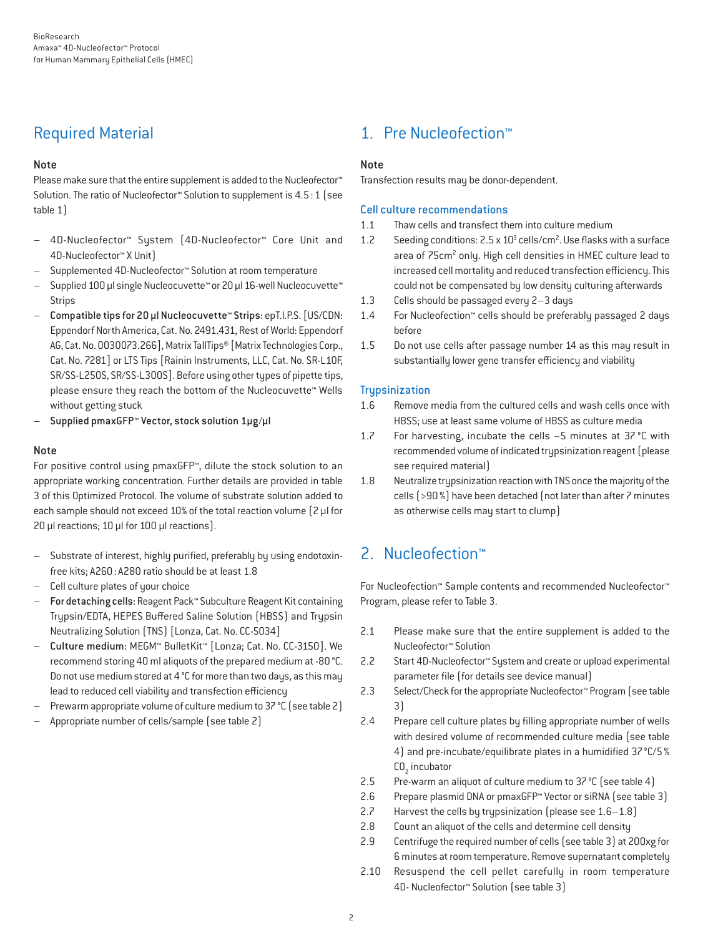### Required Material

### Note

Please make sure that the entire supplement is added to the Nucleofector<sup>™</sup> Solution. The ratio of Nucleofector™ Solution to supplement is 4.5:1 (see table 1)

- 4D-Nucleofector™ System (4D-Nucleofector™ Core Unit and 4D-Nucleofector™ X Unit)
- Supplemented 4D-Nucleofector™ Solution at room temperature
- Supplied 100 µl single Nucleocuvette™ or 20 µl 16-well Nucleocuvette™ **Strips**
- Compatible tips for 20 µl Nucleocuvette™ Strips: epT.I.P.S. [US/CDN: Eppendorf North America, Cat. No. 2491.431, Rest of World: Eppendorf AG, Cat. No. 0030073.266], Matrix TallTips® [Matrix Technologies Corp., Cat. No. 7281] or LTS Tips [Rainin Instruments, LLC, Cat. No. SR-L10F, SR/SS-L250S, SR/SS-L300S]. Before using other types of pipette tips, please ensure they reach the bottom of the Nucleocuvette™ Wells without getting stuck
- Supplied pmaxGFP™ Vector, stock solution 1µg/µl

### Note

For positive control using pmaxGFP™, dilute the stock solution to an appropriate working concentration. Further details are provided in table 3 of this Optimized Protocol. The volume of substrate solution added to each sample should not exceed 10% of the total reaction volume [2 µl for 20 µl reactions; 10 µl for 100 µl reactions).

- Substrate of interest, highly purified, preferably by using endotoxinfree kits; A260: A280 ratio should be at least 1.8
- Cell culture plates of your choice
- For detaching cells: Reagent Pack™ Subculture Reagent Kit containing Trypsin/EDTA, HEPES Buffered Saline Solution (HBSS) and Trypsin Neutralizing Solution (TNS) [Lonza, Cat. No. CC-5034]
- Culture medium: MEGM™ BulletKit™ [Lonza; Cat. No. CC-3150]. We recommend storing 40 ml aliquots of the prepared medium at -80°C. Do not use medium stored at 4 °C for more than two days, as this may lead to reduced cell viability and transfection efficiency
- Prewarm appropriate volume of culture medium to 37 °C (see table 2)
- Appropriate number of cells/sample (see table 2)

### 1. Pre Nucleofection™

### Note

Transfection results may be donor-dependent.

### Cell culture recommendations

- 1.1 Thaw cells and transfect them into culture medium
- 1.2 Seeding conditions: 2.5 x 10<sup>3</sup> cells/cm<sup>2</sup>. Use flasks with a surface area of 75cm<sup>2</sup> only. High cell densities in HMEC culture lead to increased cell mortality and reduced transfection efficiency. This could not be compensated by low density culturing afterwards
- 1.3 Cells should be passaged every 2–3 days
- 1.4 For Nucleofection™ cells should be preferably passaged 2 days before
- 1.5 Do not use cells after passage number 14 as this may result in substantially lower gene transfer efficiency and viability

### **Trupsinization**

- 1.6 Remove media from the cultured cells and wash cells once with HBSS; use at least same volume of HBSS as culture media
- 1.7 For harvesting, incubate the cells ~5 minutes at 37 °C with recommended volume of indicated trypsinization reagent (please see required material)
- 1.8 Neutralize trypsinization reaction with TNS once the majority of the cells (>90%) have been detached (not later than after 7 minutes as otherwise cells may start to clump)

### 2. Nucleofection™

For Nucleofection™ Sample contents and recommended Nucleofector™ Program, please refer to Table 3.

- 2.1 Please make sure that the entire supplement is added to the Nucleofector™ Solution
- 2.2 Start 4D-Nucleofector™ System and create or upload experimental parameter file (for details see device manual)
- 2.3 Select/Check for the appropriate Nucleofector™ Program (see table 3)
- 2.4 Prepare cell culture plates by filling appropriate number of wells with desired volume of recommended culture media (see table 4) and pre-incubate/equilibrate plates in a humidified 37°C/5%  $CO<sub>2</sub>$  incubator
- 2.5 Pre-warm an aliquot of culture medium to 37 °C (see table 4)
- 2.6 Prepare plasmid DNA or pmaxGFP™ Vector or siRNA (see table 3)
- 2.7 Harvest the cells by trypsinization (please see 1.6–1.8)
- 2.8 Count an aliquot of the cells and determine cell density
- 2.9 Centrifuge the required number of cells (see table 3) at 200xg for 6 minutes at room temperature. Remove supernatant completely
- 2.10 Resuspend the cell pellet carefully in room temperature 4D- Nucleofector™ Solution (see table 3)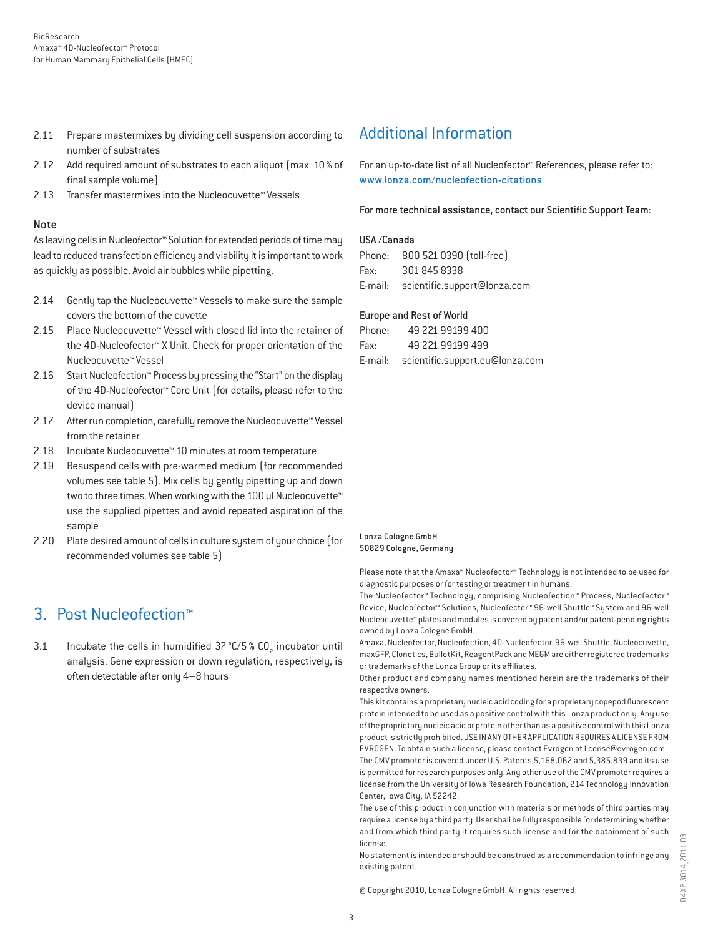- 2.11 Prepare mastermixes by dividing cell suspension according to number of substrates
- 2.12 Add required amount of substrates to each aliquot (max. 10% of final sample volume)
- 2.13 Transfer mastermixes into the Nucleocuvette™ Vessels

#### Note

As leaving cells in Nucleofector™ Solution for extended periods of time may lead to reduced transfection efficiency and viability it is important to work as quickly as possible. Avoid air bubbles while pipetting.

- 2.14 Gently tap the Nucleocuvette™ Vessels to make sure the sample covers the bottom of the cuvette
- 2.15 Place Nucleocuvette™ Vessel with closed lid into the retainer of the 4D-Nucleofector™ X Unit. Check for proper orientation of the Nucleocuvette™ Vessel
- 2.16 Start Nucleofection™ Process by pressing the "Start" on the display of the 4D-Nucleofector™ Core Unit (for details, please refer to the device manual)
- 2.17 After run completion, carefully remove the Nucleocuvette™ Vessel from the retainer
- 2.18 Incubate Nucleocuvette™ 10 minutes at room temperature
- 2.19 Resuspend cells with pre-warmed medium (for recommended volumes see table 5). Mix cells by gently pipetting up and down two to three times. When working with the 100 µl Nucleocuvette™ use the supplied pipettes and avoid repeated aspiration of the sample
- 2.20 Plate desired amount of cells in culture system of your choice (for recommended volumes see table 5)

### 3. Post Nucleofection™

3.1 Incubate the cells in humidified  $37^{\circ}$ C/5 % CO<sub>2</sub> incubator until analysis. Gene expression or down regulation, respectively, is often detectable after only 4–8 hours

### Additional Information

For an up-to-date list of all Nucleofector™ References, please refer to: www.lonza.com/nucleofection-citations

For more technical assistance, contact our Scientific Support Team:

#### USA /Canada

|      | Phone: 800 521 0390 (toll-free)      |
|------|--------------------------------------|
| Fax: | 301 845 8338                         |
|      | E-mail: scientific.support@lonza.com |

#### Europe and Rest of World

|          | Phone: +49 221 99199 400                |
|----------|-----------------------------------------|
| Fax: Fax | +49 221 99199 499                       |
|          | E-mail: scientific.support.eu@lonza.com |

#### Lonza Cologne GmbH 50829 Cologne, Germany

Please note that the Amaxa™ Nucleofector™ Technology is not intended to be used for diagnostic purposes or for testing or treatment in humans.

The Nucleofector™ Technology, comprising Nucleofection™ Process, Nucleofector™ Device, Nucleofector™ Solutions, Nucleofector™ 96-well Shuttle™ System and 96-well Nucleocuvette™ plates and modules is covered by patent and/or patent-pending rights owned by Lonza Cologne GmbH.

Amaxa, Nucleofector, Nucleofection, 4D-Nucleofector, 96-well Shuttle, Nucleocuvette, maxGFP, Clonetics, BulletKit, ReagentPack and MEGM are either registered trademarks or trademarks of the Lonza Group or its affiliates.

Other product and company names mentioned herein are the trademarks of their respective owners.

This kit contains a proprietary nucleic acid coding for a proprietary copepod fluorescent protein intended to be used as a positive control with this Lonza product only. Any use of the proprietary nucleic acid or protein other than as a positive control with this Lonza product is strictly prohibited. USE IN ANY OTHER APPLICATION REQUIRES A LICENSE FROM EVROGEN. To obtain such a license, please contact Evrogen at license@evrogen.com. The CMV promoter is covered under U.S. Patents 5,168,062 and 5,385,839 and its use is permitted for research purposes only. Any other use of the CMV promoter requires a license from the University of Iowa Research Foundation, 214 Technology Innovation Center, Iowa City, IA 52242.

The use of this product in conjunction with materials or methods of third parties may require a license by a third party. User shall be fully responsible for determining whether and from which third party it requires such license and for the obtainment of such license.

No statement is intended or should be construed as a recommendation to infringe any existing patent.

© Copyright 2010, Lonza Cologne GmbH. All rights reserved.